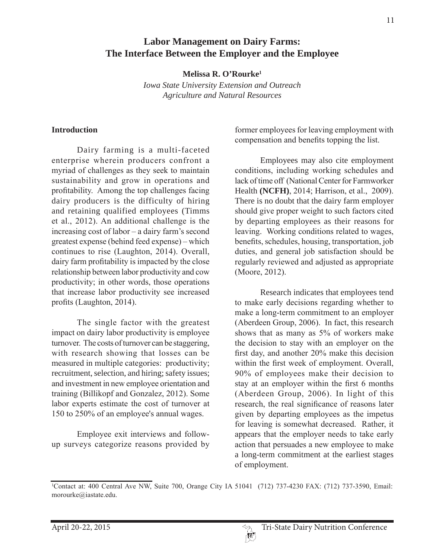# **Labor Management on Dairy Farms: The Interface Between the Employer and the Employee**

**Melissa R. O'Rourke1**

*Iowa State University Extension and Outreach Agriculture and Natural Resources*

### **Introduction**

Dairy farming is a multi-faceted enterprise wherein producers confront a myriad of challenges as they seek to maintain sustainability and grow in operations and profitability. Among the top challenges facing dairy producers is the difficulty of hiring and retaining qualified employees (Timms et al.,  $2012$ ). An additional challenge is the increasing cost of labor  $-$  a dairy farm's second greatest expense (behind feed expense) – which continues to rise (Laughton, 2014). Overall, dairy farm profitability is impacted by the close relationship between labor productivity and cow productivity; in other words, those operations that increase labor productivity see increased profits (Laughton, 2014).

The single factor with the greatest impact on dairy labor productivity is employee turnover. The costs of turnover can be staggering, with research showing that losses can be measured in multiple categories: productivity; recruitment, selection, and hiring; safety issues; and investment in new employee orientation and training (Billikopf and Gonzalez, 2012). Some labor experts estimate the cost of turnover at 150 to 250% of an employee's annual wages.

Employee exit interviews and followup surveys categorize reasons provided by

former employees for leaving employment with compensation and benefits topping the list.

Employees may also cite employment conditions, including working schedules and lack of time off (National Center for Farmworker Health **(NCFH)**, 2014; Harrison, et al., 2009). There is no doubt that the dairy farm employer should give proper weight to such factors cited by departing employees as their reasons for leaving. Working conditions related to wages, benefits, schedules, housing, transportation, job duties, and general job satisfaction should be regularly reviewed and adjusted as appropriate (Moore, 2012).

Research indicates that employees tend to make early decisions regarding whether to make a long-term commitment to an employer (Aberdeen Group,  $2006$ ). In fact, this research shows that as many as  $5\%$  of workers make the decision to stay with an employer on the first day, and another  $20\%$  make this decision within the first week of employment. Overall,  $90\%$  of employees make their decision to stay at an employer within the first 6 months (Aberdeen Group, 2006). In light of this research, the real significance of reasons later given by departing employees as the impetus for leaving is somewhat decreased. Rather, it appears that the employer needs to take early action that persuades a new employee to make a long-term commitment at the earliest stages of employment.

<sup>&</sup>lt;sup>1</sup>Contact at: 400 Central Ave NW, Suite 700, Orange City IA 51041 (712) 737-4230 FAX: (712) 737-3590, Email: morourke@iastate.edu.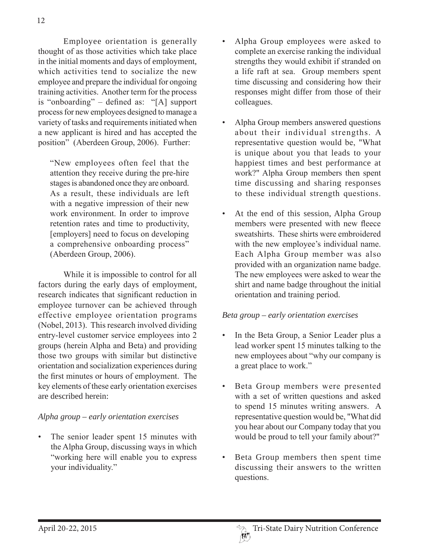Employee orientation is generally thought of as those activities which take place in the initial moments and days of employment, which activities tend to socialize the new employee and prepare the individual for ongoing training activities. Another term for the process is "onboarding"  $-$  defined as: "[A] support process for new employees designed to manage a variety of tasks and requirements initiated when a new applicant is hired and has accepted the position" (Aberdeen Group, 2006). Further:

"New employees often feel that the attention they receive during the pre-hire stages is abandoned once they are onboard. As a result, these individuals are left with a negative impression of their new work environment. In order to improve retention rates and time to productivity, [employers] need to focus on developing a comprehensive onboarding process"  $(Aberdeen Group, 2006).$ 

While it is impossible to control for all factors during the early days of employment, research indicates that significant reduction in employee turnover can be achieved through effective employee orientation programs (Nobel,  $2013$ ). This research involved dividing entry-level customer service employees into 2 groups (herein Alpha and Beta) and providing those two groups with similar but distinctive orientation and socialization experiences during the first minutes or hours of employment. The key elements of these early orientation exercises are described herein:

## *Alpha group – early orientation exercises*

The senior leader spent 15 minutes with the Alpha Group, discussing ways in which "working here will enable you to express your individuality."

- Alpha Group employees were asked to complete an exercise ranking the individual strengths they would exhibit if stranded on a life raft at sea. Group members spent time discussing and considering how their responses might differ from those of their colleagues.
- Alpha Group members answered questions about their individual strengths. A representative question would be, "What is unique about you that leads to your happiest times and best performance at work?" Alpha Group members then spent time discussing and sharing responses to these individual strength questions.
- At the end of this session, Alpha Group members were presented with new fleece sweatshirts. These shirts were embroidered with the new employee's individual name. Each Alpha Group member was also provided with an organization name badge. The new employees were asked to wear the shirt and name badge throughout the initial orientation and training period.

#### *Beta group – early orientation exercises*

- In the Beta Group, a Senior Leader plus a lead worker spent 15 minutes talking to the new employees about "why our company is a great place to work."
- Beta Group members were presented with a set of written questions and asked to spend 15 minutes writing answers. A representative question would be, "What did you hear about our Company today that you would be proud to tell your family about?"
- Beta Group members then spent time discussing their answers to the written questions.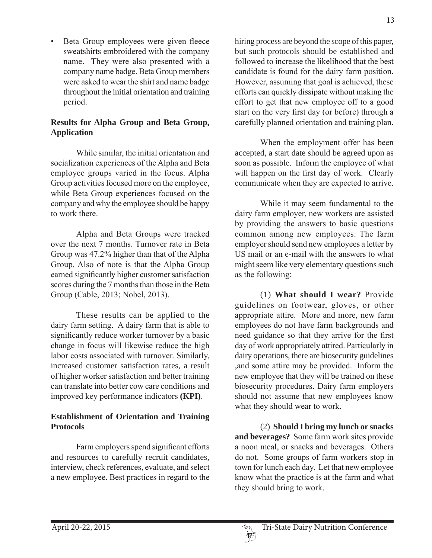Beta Group employees were given fleece sweatshirts embroidered with the company name. They were also presented with a company name badge. Beta Group members were asked to wear the shirt and name badge throughout the initial orientation and training period.

# **Results for Alpha Group and Beta Group, Application**

While similar, the initial orientation and socialization experiences of the Alpha and Beta employee groups varied in the focus. Alpha Group activities focused more on the employee. while Beta Group experiences focused on the company and why the employee should be happy to work there.

Alpha and Beta Groups were tracked over the next 7 months. Turnover rate in Beta Group was  $47.2\%$  higher than that of the Alpha Group. Also of note is that the Alpha Group earned significantly higher customer satisfaction scores during the 7 months than those in the Beta Group (Cable, 2013; Nobel, 2013).

These results can be applied to the dairy farm setting. A dairy farm that is able to significantly reduce worker turnover by a basic change in focus will likewise reduce the high labor costs associated with turnover. Similarly, increased customer satisfaction rates, a result of higher worker satisfaction and better training can translate into better cow care conditions and improved key performance indicators (**KPI**).

# **Establishment of Orientation and Training Protocols**

Farm employers spend significant efforts and resources to carefully recruit candidates, interview, check references, evaluate, and select a new employee. Best practices in regard to the hiring process are beyond the scope of this paper, but such protocols should be established and followed to increase the likelihood that the best candidate is found for the dairy farm position. However, assuming that goal is achieved, these efforts can quickly dissipate without making the effort to get that new employee off to a good start on the very first day (or before) through a carefully planned orientation and training plan.

When the employment offer has been accepted, a start date should be agreed upon as soon as possible. Inform the employee of what will happen on the first day of work. Clearly communicate when they are expected to arrive.

While it may seem fundamental to the dairy farm employer, new workers are assisted by providing the answers to basic questions common among new employees. The farm employer should send new employees a letter by US mail or an e-mail with the answers to what might seem like very elementary questions such as the following:

(1) **What should I wear?** Provide guidelines on footwear, gloves, or other appropriate attire. More and more, new farm employees do not have farm backgrounds and need guidance so that they arrive for the first day of work appropriately attired. Particularly in dairy operations, there are biosecurity guidelines and some attire may be provided. Inform the new employee that they will be trained on these biosecurity procedures. Dairy farm employers should not assume that new employees know what they should wear to work.

(2) **Should I bring my lunch or snacks**  and beverages? Some farm work sites provide a noon meal, or snacks and beverages. Others do not. Some groups of farm workers stop in town for lunch each day. Let that new employee know what the practice is at the farm and what they should bring to work.

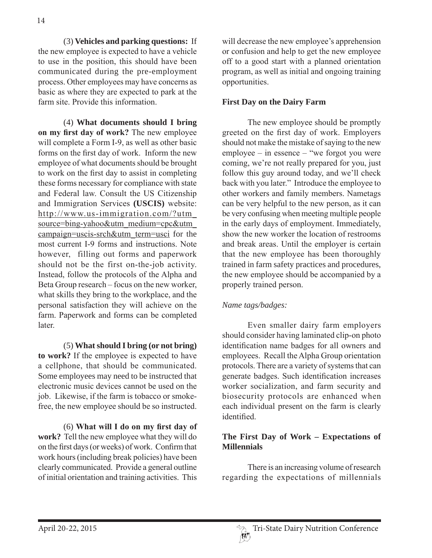(3) **Vehicles and parking questions:** If the new employee is expected to have a vehicle to use in the position, this should have been communicated during the pre-employment process. Other employees may have concerns as basic as where they are expected to park at the farm site. Provide this information.

(4) **What documents should I bring**  on my first day of work? The new employee will complete a Form I-9, as well as other basic forms on the first day of work. Inform the new employee of what documents should be brought to work on the first day to assist in completing these forms necessary for compliance with state and Federal law. Consult the US Citizenship and Immigration Services (USCIS) website:  $http://www.us-immigration.com/?utm$ source=bing-yahoo&utm\_medium=cpc&utm\_ campaign=uscis-srch&utm term=usci for the most current I-9 forms and instructions. Note however, filling out forms and paperwork should not be the first on-the-job activity. Instead, follow the protocols of the Alpha and Beta Group research – focus on the new worker, what skills they bring to the workplace, and the personal satisfaction they will achieve on the farm. Paperwork and forms can be completed later.

(5) **What should I bring (or not bring) to work?** If the employee is expected to have a cellphone, that should be communicated. Some employees may need to be instructed that electronic music devices cannot be used on the iob. Likewise, if the farm is tobacco or smokefree, the new employee should be so instructed.

(6) What will I do on my first day of **work?** Tell the new employee what they will do on the first days (or weeks) of work. Confirm that work hours (including break policies) have been clearly communicated. Provide a general outline of initial orientation and training activities. This

will decrease the new employee's apprehension or confusion and help to get the new employee off to a good start with a planned orientation program, as well as initial and ongoing training opportunities.

### **First Day on the Dairy Farm**

The new employee should be promptly greeted on the first day of work. Employers should not make the mistake of saying to the new employee – in essence – "we forgot you were coming, we're not really prepared for you, just follow this guy around today, and we'll check back with you later." Introduce the employee to other workers and family members. Nametags can be very helpful to the new person, as it can be very confusing when meeting multiple people in the early days of employment. Immediately, show the new worker the location of restrooms and break areas. Until the employer is certain that the new employee has been thoroughly trained in farm safety practices and procedures, the new employee should be accompanied by a properly trained person.

#### *Name tags/badges:*

Even smaller dairy farm employers should consider having laminated clip-on photo identification name badges for all owners and employees. Recall the Alpha Group orientation protocols. There are a variety of systems that can generate badges. Such identification increases worker socialization, and farm security and biosecurity protocols are enhanced when each individual present on the farm is clearly identified

### **The First Day of Work – Expectations of Millennials**

There is an increasing volume of research regarding the expectations of millennials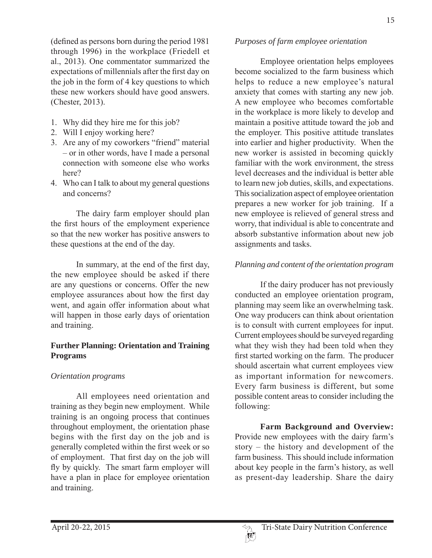(defined as persons born during the period  $1981$ through 1996) in the workplace (Friedell et al., 2013). One commentator summarized the expectations of millennials after the first day on the job in the form of 4 key questions to which these new workers should have good answers.  $(**Chester**, 2013).$ 

- 1. Why did they hire me for this job?
- 2. Will I enjoy working here?
- 3. Are any of my coworkers "friend" material  $-$  or in other words, have I made a personal connection with someone else who works here?
- 4. Who can I talk to about my general questions and concerns?

The dairy farm employer should plan the first hours of the employment experience so that the new worker has positive answers to these questions at the end of the day.

In summary, at the end of the first day, the new employee should be asked if there are any questions or concerns. Offer the new employee assurances about how the first day went, and again offer information about what will happen in those early days of orientation and training.

# **Further Planning: Orientation and Training Programs**

## *Orientation programs*

All employees need orientation and training as they begin new employment. While training is an ongoing process that continues throughout employment, the orientation phase begins with the first day on the job and is generally completed within the first week or so of employment. That first day on the job will fly by quickly. The smart farm employer will have a plan in place for employee orientation and training.

### *Purposes of farm employee orientation*

Employee orientation helps employees become socialized to the farm business which helps to reduce a new employee's natural anxiety that comes with starting any new job. A new employee who becomes comfortable in the workplace is more likely to develop and maintain a positive attitude toward the job and the employer. This positive attitude translates into earlier and higher productivity. When the new worker is assisted in becoming quickly familiar with the work environment, the stress level decreases and the individual is better able to learn new job duties, skills, and expectations. This socialization aspect of employee orientation prepares a new worker for job training. If a new employee is relieved of general stress and worry, that individual is able to concentrate and absorb substantive information about new job assignments and tasks.

## *Planning and content of the orientation program*

If the dairy producer has not previously conducted an employee orientation program, planning may seem like an overwhelming task. One way producers can think about orientation is to consult with current employees for input. Current employees should be surveyed regarding what they wish they had been told when they first started working on the farm. The producer should ascertain what current employees view as important information for newcomers. Every farm business is different, but some possible content areas to consider including the following:

 **Farm Background and Overview:**  Provide new employees with the dairy farm's story – the history and development of the farm business. This should include information about key people in the farm's history, as well as present-day leadership. Share the dairy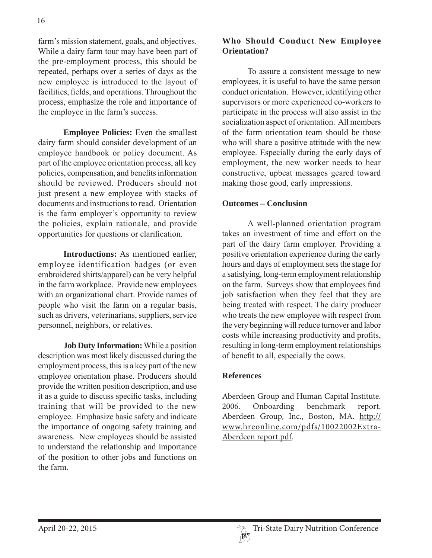farm's mission statement, goals, and objectives. While a dairy farm tour may have been part of the pre-employment process, this should be repeated, perhaps over a series of days as the new employee is introduced to the layout of facilities, fields, and operations. Throughout the process, emphasize the role and importance of the employee in the farm's success.

**Employee Policies:** Even the smallest dairy farm should consider development of an employee handbook or policy document. As part of the employee orientation process, all key policies, compensation, and benefits information should be reviewed. Producers should not just present a new employee with stacks of documents and instructions to read. Orientation is the farm employer's opportunity to review the policies, explain rationale, and provide opportunities for questions or clarification.

**Introductions:** As mentioned earlier, employee identification badges (or even embroidered shirts/apparel) can be very helpful in the farm workplace. Provide new employees with an organizational chart. Provide names of people who visit the farm on a regular basis, such as drivers, veterinarians, suppliers, service personnel, neighbors, or relatives.

**Job Duty Information:** While a position description was most likely discussed during the employment process, this is a key part of the new employee orientation phase. Producers should provide the written position description, and use it as a guide to discuss specific tasks, including training that will be provided to the new employee. Emphasize basic safety and indicate the importance of ongoing safety training and awareness. New employees should be assisted to understand the relationship and importance of the position to other jobs and functions on the farm

# **Who Should Conduct New Employee Orientation?**

To assure a consistent message to new employees, it is useful to have the same person conduct orientation. However, identifying other supervisors or more experienced co-workers to participate in the process will also assist in the socialization aspect of orientation. All members of the farm orientation team should be those who will share a positive attitude with the new employee. Especially during the early days of employment, the new worker needs to hear constructive, upbeat messages geared toward making those good, early impressions.

## **Outcomes – Conclusion**

A well-planned orientation program takes an investment of time and effort on the part of the dairy farm employer. Providing a positive orientation experience during the early hours and days of employment sets the stage for a satisfying, long-term employment relationship on the farm. Surveys show that employees find job satisfaction when they feel that they are being treated with respect. The dairy producer who treats the new employee with respect from the very beginning will reduce turnover and labor costs while increasing productivity and profits, resulting in long-term employment relationships of benefit to all, especially the cows.

#### **References**

Aberdeen Group and Human Capital Institute. 2006. Onboarding benchmark report. Aberdeen Group, Inc., Boston, MA. http:// www.hreonline.com/pdfs/10022002Extra-Aberdeen report.pdf.